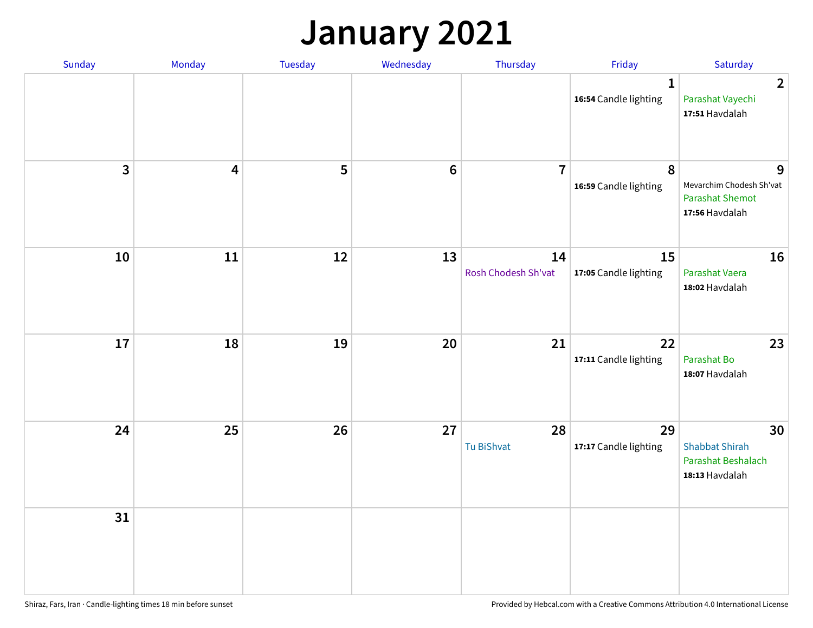## **January 2021**

| Sunday                  | Monday                  | Tuesday | Wednesday | Thursday                  | Friday                                | Saturday                                                                  |
|-------------------------|-------------------------|---------|-----------|---------------------------|---------------------------------------|---------------------------------------------------------------------------|
|                         |                         |         |           |                           | $\mathbf{1}$<br>16:54 Candle lighting | $\overline{2}$<br>Parashat Vayechi<br>17:51 Havdalah                      |
| $\overline{\mathbf{3}}$ | $\overline{\mathbf{4}}$ | 5       | $\bf 6$   | $\overline{7}$            | 8<br>16:59 Candle lighting            | 9<br>Mevarchim Chodesh Sh'vat<br><b>Parashat Shemot</b><br>17:56 Havdalah |
| 10                      | 11                      | 12      | 13        | 14<br>Rosh Chodesh Sh'vat | 15<br>17:05 Candle lighting           | 16<br>Parashat Vaera<br>18:02 Havdalah                                    |
| 17                      | 18                      | 19      | 20        | 21                        | 22<br>17:11 Candle lighting           | 23<br>Parashat Bo<br>18:07 Havdalah                                       |
| 24                      | 25                      | 26      | 27        | 28<br>Tu BiShvat          | 29<br>17:17 Candle lighting           | 30<br><b>Shabbat Shirah</b><br>Parashat Beshalach<br>18:13 Havdalah       |
| 31                      |                         |         |           |                           |                                       |                                                                           |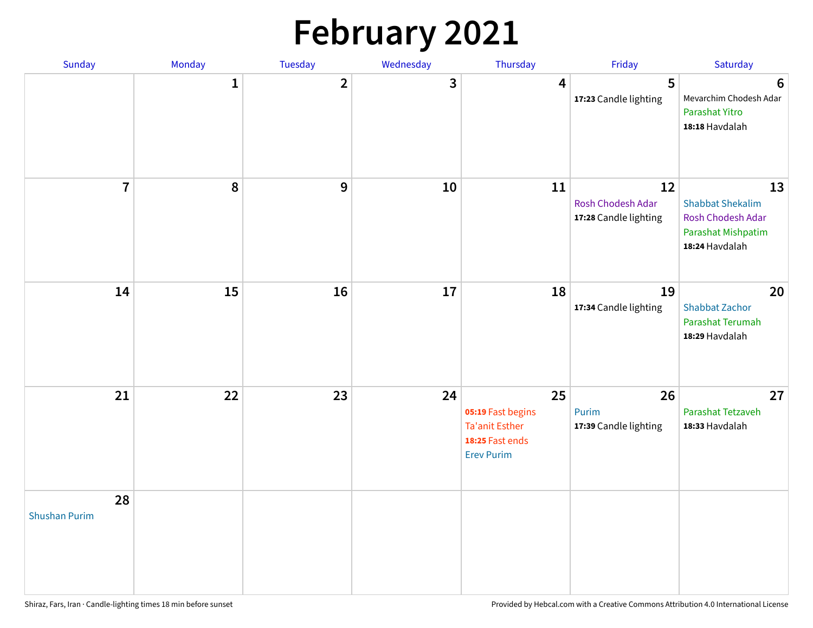# **February 2021**

| Sunday                     | Monday       | Tuesday        | Wednesday | Thursday                                                                                 | Friday                                           | Saturday                                                                                   |
|----------------------------|--------------|----------------|-----------|------------------------------------------------------------------------------------------|--------------------------------------------------|--------------------------------------------------------------------------------------------|
|                            | $\mathbf{1}$ | $\overline{2}$ | 3         | 4                                                                                        | 5<br>17:23 Candle lighting                       | $6\phantom{1}6$<br>Mevarchim Chodesh Adar<br>Parashat Yitro<br>18:18 Havdalah              |
| $\overline{7}$             | 8            | 9              | 10        | 11                                                                                       | 12<br>Rosh Chodesh Adar<br>17:28 Candle lighting | 13<br><b>Shabbat Shekalim</b><br>Rosh Chodesh Adar<br>Parashat Mishpatim<br>18:24 Havdalah |
| 14                         | 15           | 16             | 17        | 18                                                                                       | 19<br>17:34 Candle lighting                      | 20<br><b>Shabbat Zachor</b><br>Parashat Terumah<br>18:29 Havdalah                          |
| 21                         | 22           | 23             | 24        | 25<br>05:19 Fast begins<br><b>Ta'anit Esther</b><br>18:25 Fast ends<br><b>Erev Purim</b> | 26<br>Purim<br>17:39 Candle lighting             | 27<br>Parashat Tetzaveh<br>18:33 Havdalah                                                  |
| 28<br><b>Shushan Purim</b> |              |                |           |                                                                                          |                                                  |                                                                                            |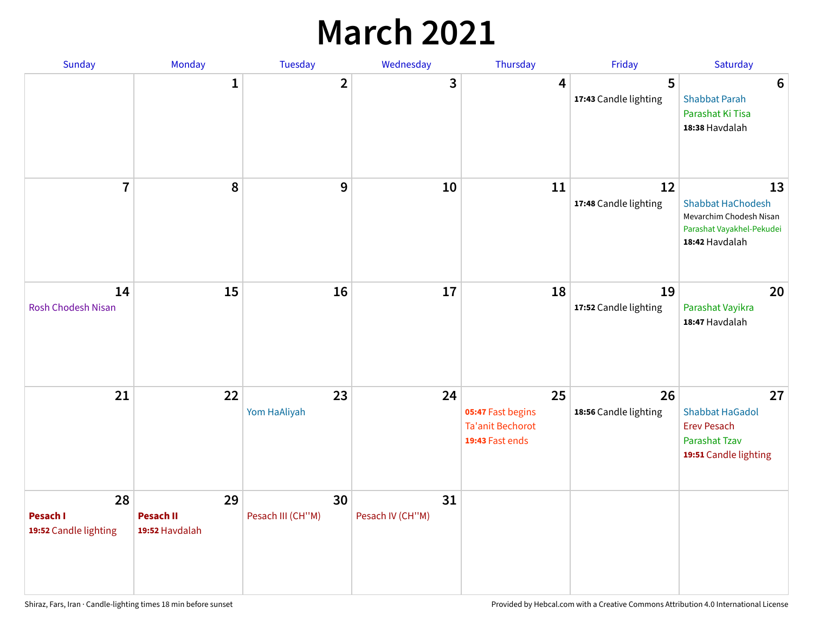## **March 2021**

| Sunday                                  | Monday                                   | Tuesday                 | Wednesday              | Thursday                                                              | Friday                      | Saturday                                                                                                 |
|-----------------------------------------|------------------------------------------|-------------------------|------------------------|-----------------------------------------------------------------------|-----------------------------|----------------------------------------------------------------------------------------------------------|
|                                         | $\mathbf 1$                              | $\overline{2}$          | 3                      | 4                                                                     | 5<br>17:43 Candle lighting  | $6\phantom{1}6$<br><b>Shabbat Parah</b><br>Parashat Ki Tisa<br>18:38 Havdalah                            |
| $\overline{7}$                          | 8                                        | 9                       | 10                     | 11                                                                    | 12<br>17:48 Candle lighting | 13<br><b>Shabbat HaChodesh</b><br>Mevarchim Chodesh Nisan<br>Parashat Vayakhel-Pekudei<br>18:42 Havdalah |
| 14<br><b>Rosh Chodesh Nisan</b>         | 15                                       | 16                      | 17                     | 18                                                                    | 19<br>17:52 Candle lighting | 20<br>Parashat Vayikra<br>18:47 Havdalah                                                                 |
| 21                                      | 22                                       | 23<br>Yom HaAliyah      | 24                     | 25<br>05:47 Fast begins<br><b>Ta'anit Bechorot</b><br>19:43 Fast ends | 26<br>18:56 Candle lighting | 27<br><b>Shabbat HaGadol</b><br><b>Erev Pesach</b><br><b>Parashat Tzav</b><br>19:51 Candle lighting      |
| 28<br>Pesach I<br>19:52 Candle lighting | 29<br><b>Pesach II</b><br>19:52 Havdalah | 30<br>Pesach III (CH"M) | 31<br>Pesach IV (CH"M) |                                                                       |                             |                                                                                                          |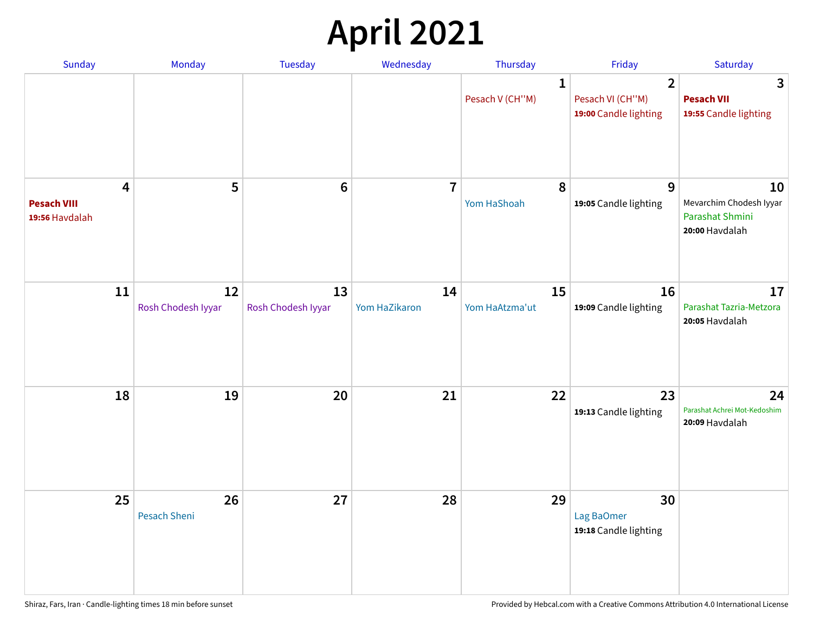# **April 2021**

| Sunday                                    | Monday                   | Tuesday                  | Wednesday           | Thursday                        | Friday                                                      | Saturday                                                           |
|-------------------------------------------|--------------------------|--------------------------|---------------------|---------------------------------|-------------------------------------------------------------|--------------------------------------------------------------------|
|                                           |                          |                          |                     | $\mathbf{1}$<br>Pesach V (CH"M) | $\overline{2}$<br>Pesach VI (CH"M)<br>19:00 Candle lighting | 3<br><b>Pesach VII</b><br>19:55 Candle lighting                    |
| 4<br><b>Pesach VIII</b><br>19:56 Havdalah | 5                        | $\bf 6$                  | $\overline{7}$      | 8<br>Yom HaShoah                | 9<br>19:05 Candle lighting                                  | 10<br>Mevarchim Chodesh Iyyar<br>Parashat Shmini<br>20:00 Havdalah |
| 11                                        | 12<br>Rosh Chodesh Iyyar | 13<br>Rosh Chodesh Iyyar | 14<br>Yom HaZikaron | 15<br>Yom HaAtzma'ut            | 16<br>19:09 Candle lighting                                 | 17<br>Parashat Tazria-Metzora<br>20:05 Havdalah                    |
| 18                                        | 19                       | 20                       | 21                  | 22                              | 23<br>19:13 Candle lighting                                 | 24<br>Parashat Achrei Mot-Kedoshim<br>20:09 Havdalah               |
| 25                                        | 26<br>Pesach Sheni       | 27                       | 28                  | 29                              | 30<br>Lag BaOmer<br>19:18 Candle lighting                   |                                                                    |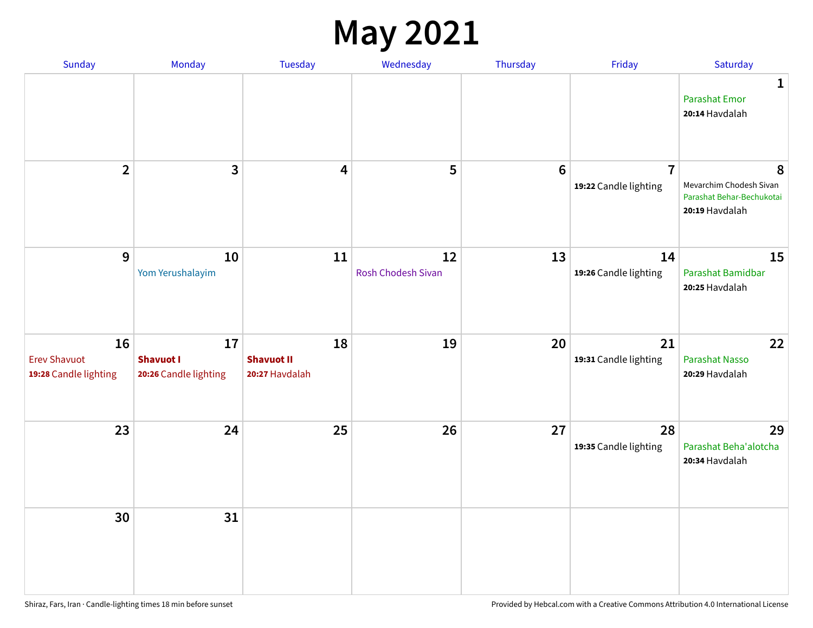#### **May 2021**

| Sunday                                             | Monday                                          | Tuesday                                   | Wednesday                       | Thursday        | Friday                                  | Saturday                                                                    |
|----------------------------------------------------|-------------------------------------------------|-------------------------------------------|---------------------------------|-----------------|-----------------------------------------|-----------------------------------------------------------------------------|
|                                                    |                                                 |                                           |                                 |                 |                                         | 1<br><b>Parashat Emor</b><br>20:14 Havdalah                                 |
| $\overline{2}$                                     | $\overline{3}$                                  | $\overline{\mathbf{4}}$                   | 5                               | $6\phantom{1}6$ | $\overline{7}$<br>19:22 Candle lighting | 8<br>Mevarchim Chodesh Sivan<br>Parashat Behar-Bechukotai<br>20:19 Havdalah |
| $9$                                                | 10<br>Yom Yerushalayim                          | 11                                        | 12<br><b>Rosh Chodesh Sivan</b> | 13              | 14<br>19:26 Candle lighting             | 15<br>Parashat Bamidbar<br>20:25 Havdalah                                   |
| 16<br><b>Erev Shavuot</b><br>19:28 Candle lighting | 17<br><b>Shavuot I</b><br>20:26 Candle lighting | 18<br><b>Shavuot II</b><br>20:27 Havdalah | 19                              | 20              | 21<br>19:31 Candle lighting             | 22<br><b>Parashat Nasso</b><br>20:29 Havdalah                               |
| 23                                                 | 24                                              | 25                                        | 26                              | 27              | 28<br>19:35 Candle lighting             | 29<br>Parashat Beha'alotcha<br>20:34 Havdalah                               |
| 30                                                 | 31                                              |                                           |                                 |                 |                                         |                                                                             |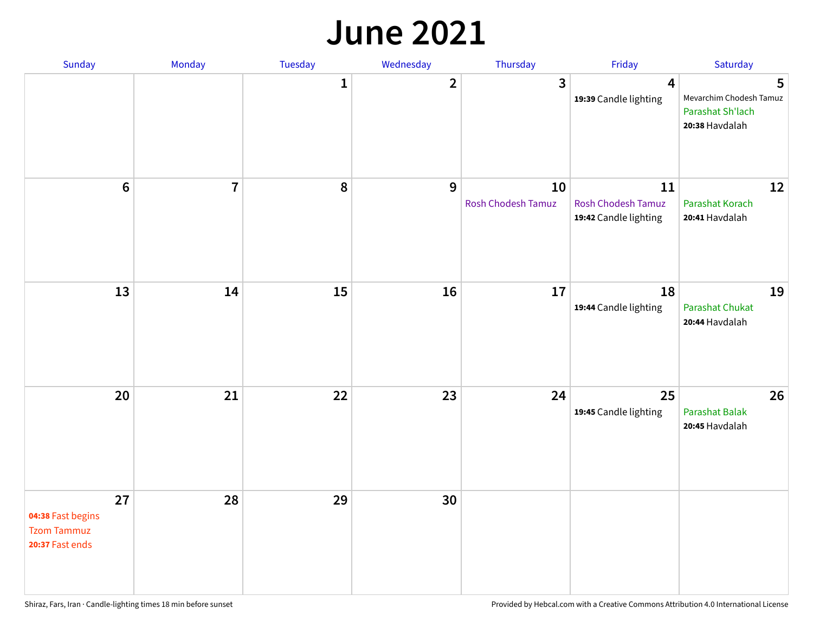#### **June 2021**

| Sunday                                                           | Monday         | Tuesday      | Wednesday    | Thursday                 | Friday                                                   | Saturday                                                           |
|------------------------------------------------------------------|----------------|--------------|--------------|--------------------------|----------------------------------------------------------|--------------------------------------------------------------------|
|                                                                  |                | $\mathbf{1}$ | $\mathbf{2}$ | $\mathbf{3}$             | 4<br>19:39 Candle lighting                               | 5<br>Mevarchim Chodesh Tamuz<br>Parashat Sh'lach<br>20:38 Havdalah |
| $6\,$                                                            | $\overline{7}$ | 8            | 9            | 10<br>Rosh Chodesh Tamuz | 11<br><b>Rosh Chodesh Tamuz</b><br>19:42 Candle lighting | 12<br><b>Parashat Korach</b><br>20:41 Havdalah                     |
| 13                                                               | 14             | 15           | 16           | 17                       | 18<br>19:44 Candle lighting                              | 19<br><b>Parashat Chukat</b><br>20:44 Havdalah                     |
| 20                                                               | 21             | 22           | 23           | 24                       | 25<br>19:45 Candle lighting                              | 26<br><b>Parashat Balak</b><br>20:45 Havdalah                      |
| 27<br>04:38 Fast begins<br><b>Tzom Tammuz</b><br>20:37 Fast ends | 28             | 29           | 30           |                          |                                                          |                                                                    |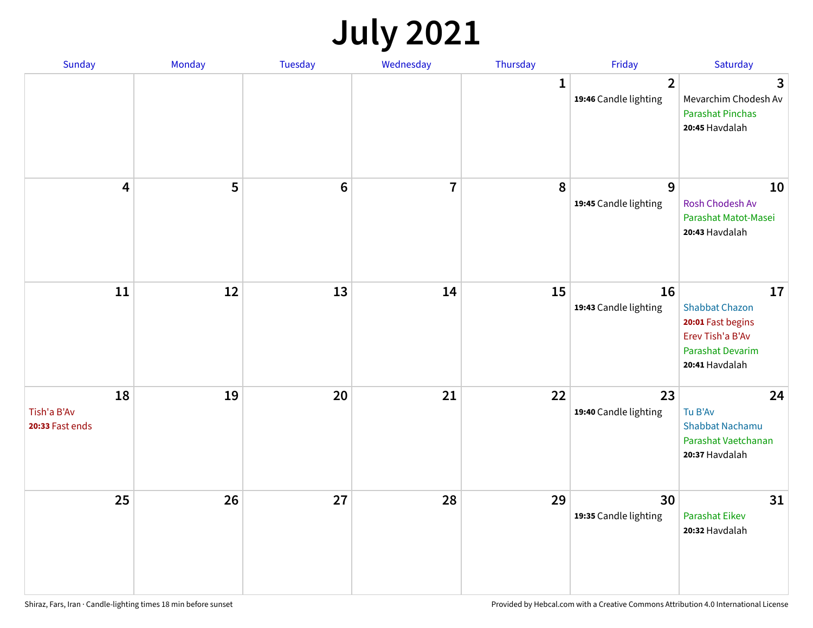## **July 2021**

| Sunday                               | Monday | Tuesday        | Wednesday      | Thursday     | Friday                                  | Saturday                                                                                                          |
|--------------------------------------|--------|----------------|----------------|--------------|-----------------------------------------|-------------------------------------------------------------------------------------------------------------------|
|                                      |        |                |                | $\mathbf{1}$ | $\overline{2}$<br>19:46 Candle lighting | 3<br>Mevarchim Chodesh Av<br><b>Parashat Pinchas</b><br>20:45 Havdalah                                            |
| 4                                    | 5      | $6\phantom{1}$ | $\overline{7}$ | 8            | 9<br>19:45 Candle lighting              | 10<br>Rosh Chodesh Av<br>Parashat Matot-Masei<br>20:43 Havdalah                                                   |
| $11\,$                               | 12     | 13             | 14             | 15           | 16<br>19:43 Candle lighting             | 17<br><b>Shabbat Chazon</b><br>20:01 Fast begins<br>Erev Tish'a B'Av<br><b>Parashat Devarim</b><br>20:41 Havdalah |
| 18<br>Tish'a B'Av<br>20:33 Fast ends | 19     | 20             | 21             | 22           | 23<br>19:40 Candle lighting             | 24<br>Tu B'Av<br>Shabbat Nachamu<br>Parashat Vaetchanan<br>20:37 Havdalah                                         |
| 25                                   | 26     | 27             | 28             | 29           | 30<br>19:35 Candle lighting             | 31<br><b>Parashat Eikev</b><br>20:32 Havdalah                                                                     |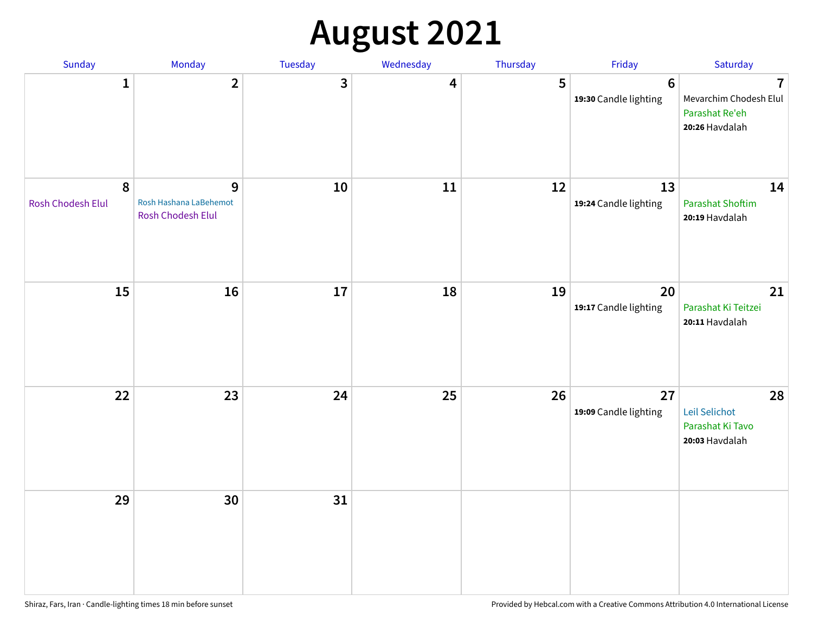# **August 2021**

| Sunday                        | Monday                                           | Tuesday      | Wednesday | Thursday | Friday                      | Saturday                                                                     |
|-------------------------------|--------------------------------------------------|--------------|-----------|----------|-----------------------------|------------------------------------------------------------------------------|
| $\mathbf{1}$                  | $\overline{2}$                                   | $\mathbf{3}$ | 4         | 5        | 6<br>19:30 Candle lighting  | $\overline{7}$<br>Mevarchim Chodesh Elul<br>Parashat Re'eh<br>20:26 Havdalah |
| 8<br><b>Rosh Chodesh Elul</b> | 9<br>Rosh Hashana LaBehemot<br>Rosh Chodesh Elul | ${\bf 10}$   | 11        | 12       | 13<br>19:24 Candle lighting | 14<br><b>Parashat Shoftim</b><br>20:19 Havdalah                              |
| 15                            | 16                                               | 17           | 18        | 19       | 20<br>19:17 Candle lighting | 21<br>Parashat Ki Teitzei<br>20:11 Havdalah                                  |
| 22                            | 23                                               | 24           | 25        | 26       | 27<br>19:09 Candle lighting | 28<br>Leil Selichot<br>Parashat Ki Tavo<br>20:03 Havdalah                    |
| 29                            | 30                                               | 31           |           |          |                             |                                                                              |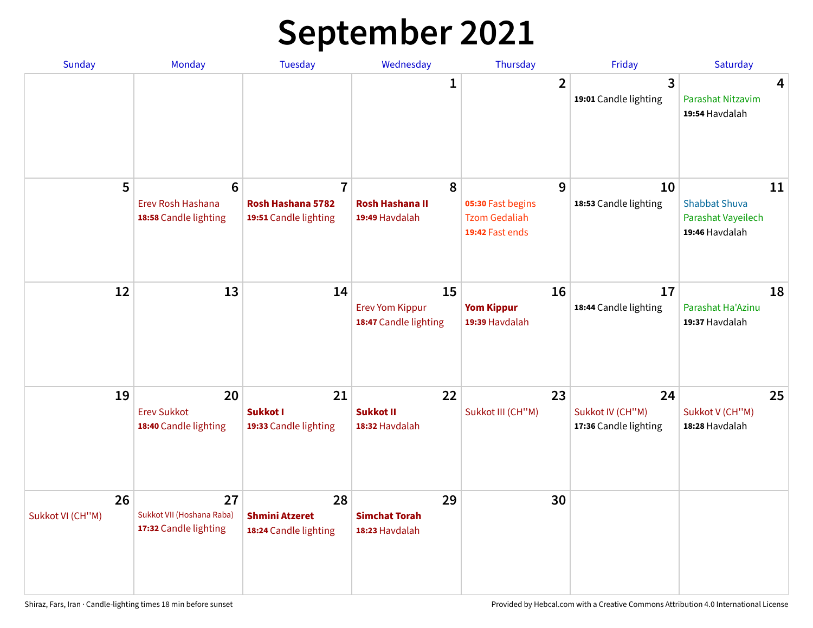# **September 2021**

| <b>Sunday</b>          | Monday                                                        | <b>Tuesday</b>                                               | Wednesday                                             | Thursday                                                          | Friday                                          | Saturday                                                           |
|------------------------|---------------------------------------------------------------|--------------------------------------------------------------|-------------------------------------------------------|-------------------------------------------------------------------|-------------------------------------------------|--------------------------------------------------------------------|
|                        |                                                               |                                                              | 1                                                     | $\overline{2}$                                                    | 3<br>19:01 Candle lighting                      | 4<br>Parashat Nitzavim<br>19:54 Havdalah                           |
| 5                      | $6\phantom{1}6$<br>Erev Rosh Hashana<br>18:58 Candle lighting | $\overline{7}$<br>Rosh Hashana 5782<br>19:51 Candle lighting | 8<br><b>Rosh Hashana II</b><br>19:49 Havdalah         | 9<br>05:30 Fast begins<br><b>Tzom Gedaliah</b><br>19:42 Fast ends | 10<br>18:53 Candle lighting                     | 11<br><b>Shabbat Shuva</b><br>Parashat Vayeilech<br>19:46 Havdalah |
| 12                     | 13                                                            | 14                                                           | 15<br><b>Erev Yom Kippur</b><br>18:47 Candle lighting | 16<br><b>Yom Kippur</b><br>19:39 Havdalah                         | 17<br>18:44 Candle lighting                     | 18<br>Parashat Ha'Azinu<br>19:37 Havdalah                          |
| 19                     | 20<br><b>Erev Sukkot</b><br>18:40 Candle lighting             | 21<br><b>Sukkot I</b><br>19:33 Candle lighting               | 22<br><b>Sukkot II</b><br>18:32 Havdalah              | 23<br>Sukkot III (CH"M)                                           | 24<br>Sukkot IV (CH"M)<br>17:36 Candle lighting | 25<br>Sukkot V (CH"M)<br>18:28 Havdalah                            |
| 26<br>Sukkot VI (CH"M) | 27<br>Sukkot VII (Hoshana Raba)<br>17:32 Candle lighting      | 28<br><b>Shmini Atzeret</b><br>18:24 Candle lighting         | 29<br><b>Simchat Torah</b><br>18:23 Havdalah          | 30                                                                |                                                 |                                                                    |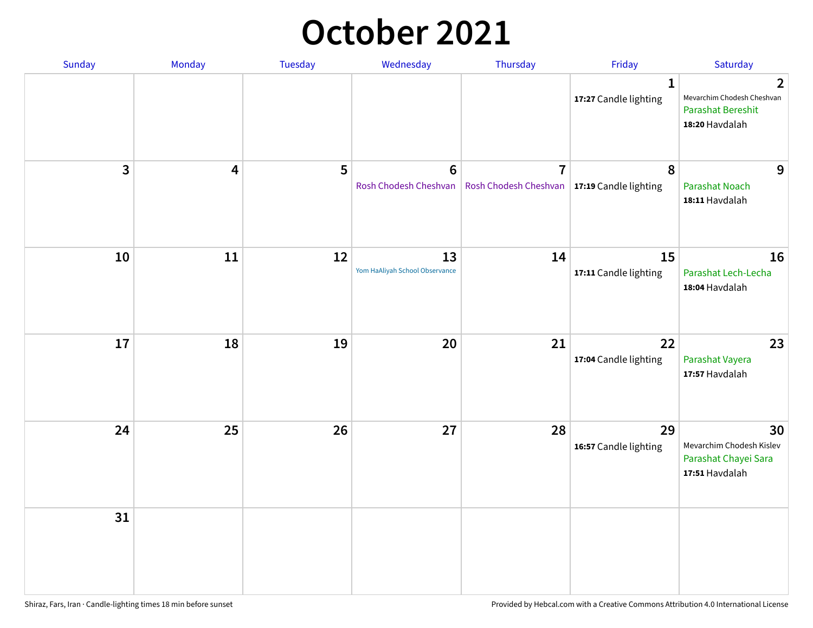#### **October 2021**

| Sunday                  | Monday | Tuesday | Wednesday                               | Thursday                                                        | Friday                                | Saturday                                                                                   |
|-------------------------|--------|---------|-----------------------------------------|-----------------------------------------------------------------|---------------------------------------|--------------------------------------------------------------------------------------------|
|                         |        |         |                                         |                                                                 | $\mathbf{1}$<br>17:27 Candle lighting | $\overline{2}$<br>Mevarchim Chodesh Cheshvan<br><b>Parashat Bereshit</b><br>18:20 Havdalah |
| $\overline{\mathbf{3}}$ | 4      | 5       | $6\phantom{1}$<br>Rosh Chodesh Cheshvan | $\overline{7}$<br>Rosh Chodesh Cheshvan   17:19 Candle lighting | 8                                     | 9<br><b>Parashat Noach</b><br>18:11 Havdalah                                               |
| 10                      | 11     | 12      | 13<br>Yom HaAliyah School Observance    | 14                                                              | 15<br>17:11 Candle lighting           | 16<br>Parashat Lech-Lecha<br>18:04 Havdalah                                                |
| 17                      | 18     | 19      | 20                                      | 21                                                              | 22<br>17:04 Candle lighting           | 23<br>Parashat Vayera<br>17:57 Havdalah                                                    |
| 24                      | 25     | 26      | 27                                      | 28                                                              | 29<br>16:57 Candle lighting           | 30<br>Mevarchim Chodesh Kislev<br>Parashat Chayei Sara<br>17:51 Havdalah                   |
| 31                      |        |         |                                         |                                                                 |                                       |                                                                                            |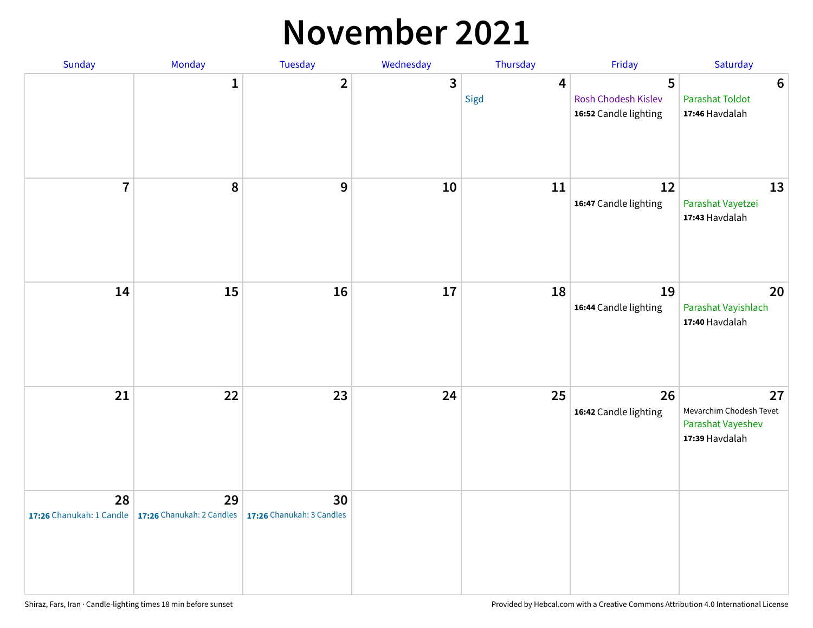#### **November 2021**

| Sunday         | Monday                                                   | Tuesday                         | Wednesday    | Thursday               | Friday                                            | Saturday                                                             |
|----------------|----------------------------------------------------------|---------------------------------|--------------|------------------------|---------------------------------------------------|----------------------------------------------------------------------|
|                | $\mathbf{1}$                                             | $\mathbf{2}$                    | $\mathbf{3}$ | $\overline{4}$<br>Sigd | 5<br>Rosh Chodesh Kislev<br>16:52 Candle lighting | $\boldsymbol{6}$<br><b>Parashat Toldot</b><br>17:46 Havdalah         |
| $\overline{7}$ | 8                                                        | 9                               | $10\,$       | 11                     | 12<br>16:47 Candle lighting                       | 13<br>Parashat Vayetzei<br>17:43 Havdalah                            |
| 14             | 15                                                       | 16                              | 17           | 18                     | 19<br>16:44 Candle lighting                       | 20<br>Parashat Vayishlach<br>17:40 Havdalah                          |
| 21             | 22                                                       | 23                              | 24           | 25                     | 26<br>16:42 Candle lighting                       | 27<br>Mevarchim Chodesh Tevet<br>Parashat Vayeshev<br>17:39 Havdalah |
| 28             | 29<br>17:26 Chanukah: 1 Candle 17:26 Chanukah: 2 Candles | 30<br>17:26 Chanukah: 3 Candles |              |                        |                                                   |                                                                      |